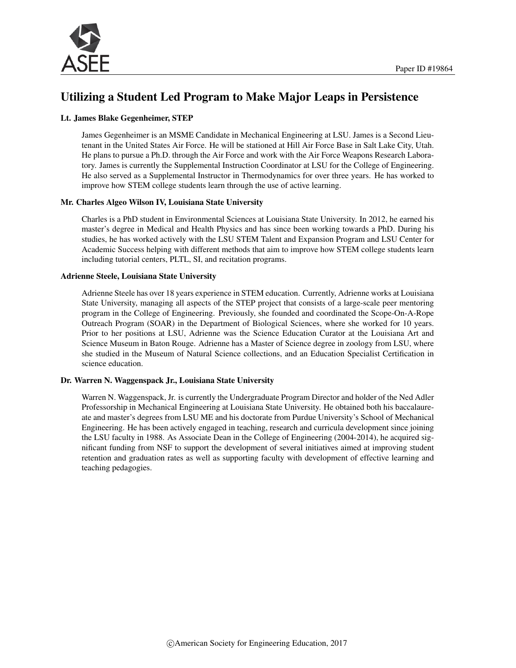

### Utilizing a Student Led Program to Make Major Leaps in Persistence

#### Lt. James Blake Gegenheimer, STEP

James Gegenheimer is an MSME Candidate in Mechanical Engineering at LSU. James is a Second Lieutenant in the United States Air Force. He will be stationed at Hill Air Force Base in Salt Lake City, Utah. He plans to pursue a Ph.D. through the Air Force and work with the Air Force Weapons Research Laboratory. James is currently the Supplemental Instruction Coordinator at LSU for the College of Engineering. He also served as a Supplemental Instructor in Thermodynamics for over three years. He has worked to improve how STEM college students learn through the use of active learning.

#### Mr. Charles Algeo Wilson IV, Louisiana State University

Charles is a PhD student in Environmental Sciences at Louisiana State University. In 2012, he earned his master's degree in Medical and Health Physics and has since been working towards a PhD. During his studies, he has worked actively with the LSU STEM Talent and Expansion Program and LSU Center for Academic Success helping with different methods that aim to improve how STEM college students learn including tutorial centers, PLTL, SI, and recitation programs.

#### Adrienne Steele, Louisiana State University

Adrienne Steele has over 18 years experience in STEM education. Currently, Adrienne works at Louisiana State University, managing all aspects of the STEP project that consists of a large-scale peer mentoring program in the College of Engineering. Previously, she founded and coordinated the Scope-On-A-Rope Outreach Program (SOAR) in the Department of Biological Sciences, where she worked for 10 years. Prior to her positions at LSU, Adrienne was the Science Education Curator at the Louisiana Art and Science Museum in Baton Rouge. Adrienne has a Master of Science degree in zoology from LSU, where she studied in the Museum of Natural Science collections, and an Education Specialist Certification in science education.

#### Dr. Warren N. Waggenspack Jr., Louisiana State University

Warren N. Waggenspack, Jr. is currently the Undergraduate Program Director and holder of the Ned Adler Professorship in Mechanical Engineering at Louisiana State University. He obtained both his baccalaureate and master's degrees from LSU ME and his doctorate from Purdue University's School of Mechanical Engineering. He has been actively engaged in teaching, research and curricula development since joining the LSU faculty in 1988. As Associate Dean in the College of Engineering (2004-2014), he acquired significant funding from NSF to support the development of several initiatives aimed at improving student retention and graduation rates as well as supporting faculty with development of effective learning and teaching pedagogies.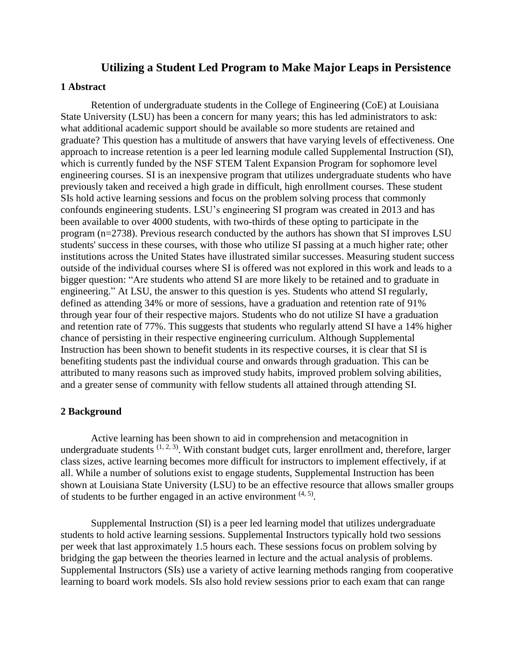#### **Utilizing a Student Led Program to Make Major Leaps in Persistence**

#### **1 Abstract**

Retention of undergraduate students in the College of Engineering (CoE) at Louisiana State University (LSU) has been a concern for many years; this has led administrators to ask: what additional academic support should be available so more students are retained and graduate? This question has a multitude of answers that have varying levels of effectiveness. One approach to increase retention is a peer led learning module called Supplemental Instruction (SI), which is currently funded by the NSF STEM Talent Expansion Program for sophomore level engineering courses. SI is an inexpensive program that utilizes undergraduate students who have previously taken and received a high grade in difficult, high enrollment courses. These student SIs hold active learning sessions and focus on the problem solving process that commonly confounds engineering students. LSU's engineering SI program was created in 2013 and has been available to over 4000 students, with two-thirds of these opting to participate in the program (n=2738). Previous research conducted by the authors has shown that SI improves LSU students' success in these courses, with those who utilize SI passing at a much higher rate; other institutions across the United States have illustrated similar successes. Measuring student success outside of the individual courses where SI is offered was not explored in this work and leads to a bigger question: "Are students who attend SI are more likely to be retained and to graduate in engineering." At LSU, the answer to this question is yes. Students who attend SI regularly, defined as attending 34% or more of sessions, have a graduation and retention rate of 91% through year four of their respective majors. Students who do not utilize SI have a graduation and retention rate of 77%. This suggests that students who regularly attend SI have a 14% higher chance of persisting in their respective engineering curriculum. Although Supplemental Instruction has been shown to benefit students in its respective courses, it is clear that SI is benefiting students past the individual course and onwards through graduation. This can be attributed to many reasons such as improved study habits, improved problem solving abilities, and a greater sense of community with fellow students all attained through attending SI.

#### **2 Background**

Active learning has been shown to aid in comprehension and metacognition in undergraduate students  $(1, 2, 3)$ . With constant budget cuts, larger enrollment and, therefore, larger class sizes, active learning becomes more difficult for instructors to implement effectively, if at all. While a number of solutions exist to engage students, Supplemental Instruction has been shown at Louisiana State University (LSU) to be an effective resource that allows smaller groups of students to be further engaged in an active environment  $(4, 5)$ .

Supplemental Instruction (SI) is a peer led learning model that utilizes undergraduate students to hold active learning sessions. Supplemental Instructors typically hold two sessions per week that last approximately 1.5 hours each. These sessions focus on problem solving by bridging the gap between the theories learned in lecture and the actual analysis of problems. Supplemental Instructors (SIs) use a variety of active learning methods ranging from cooperative learning to board work models. SIs also hold review sessions prior to each exam that can range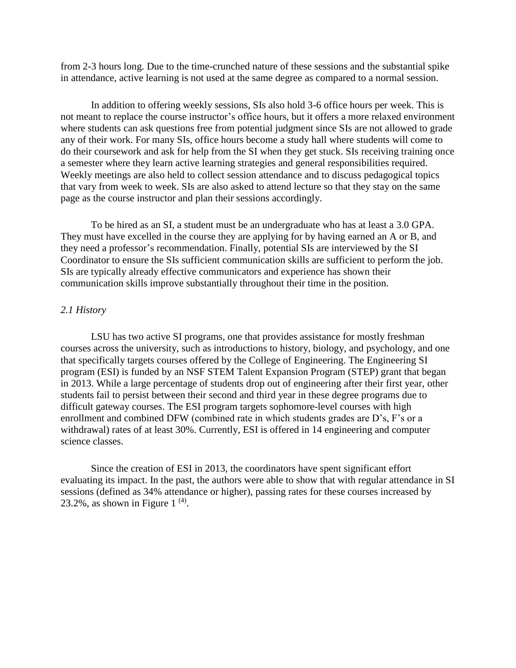from 2-3 hours long. Due to the time-crunched nature of these sessions and the substantial spike in attendance, active learning is not used at the same degree as compared to a normal session.

In addition to offering weekly sessions, SIs also hold 3-6 office hours per week. This is not meant to replace the course instructor's office hours, but it offers a more relaxed environment where students can ask questions free from potential judgment since SIs are not allowed to grade any of their work. For many SIs, office hours become a study hall where students will come to do their coursework and ask for help from the SI when they get stuck. SIs receiving training once a semester where they learn active learning strategies and general responsibilities required. Weekly meetings are also held to collect session attendance and to discuss pedagogical topics that vary from week to week. SIs are also asked to attend lecture so that they stay on the same page as the course instructor and plan their sessions accordingly.

To be hired as an SI, a student must be an undergraduate who has at least a 3.0 GPA. They must have excelled in the course they are applying for by having earned an A or B, and they need a professor's recommendation. Finally, potential SIs are interviewed by the SI Coordinator to ensure the SIs sufficient communication skills are sufficient to perform the job. SIs are typically already effective communicators and experience has shown their communication skills improve substantially throughout their time in the position.

#### *2.1 History*

LSU has two active SI programs, one that provides assistance for mostly freshman courses across the university, such as introductions to history, biology, and psychology, and one that specifically targets courses offered by the College of Engineering. The Engineering SI program (ESI) is funded by an NSF STEM Talent Expansion Program (STEP) grant that began in 2013. While a large percentage of students drop out of engineering after their first year, other students fail to persist between their second and third year in these degree programs due to difficult gateway courses. The ESI program targets sophomore-level courses with high enrollment and combined DFW (combined rate in which students grades are D's, F's or a withdrawal) rates of at least 30%. Currently, ESI is offered in 14 engineering and computer science classes.

Since the creation of ESI in 2013, the coordinators have spent significant effort evaluating its impact. In the past, the authors were able to show that with regular attendance in SI sessions (defined as 34% attendance or higher), passing rates for these courses increased by 23.2%, as shown in Figure 1 $(4)$ .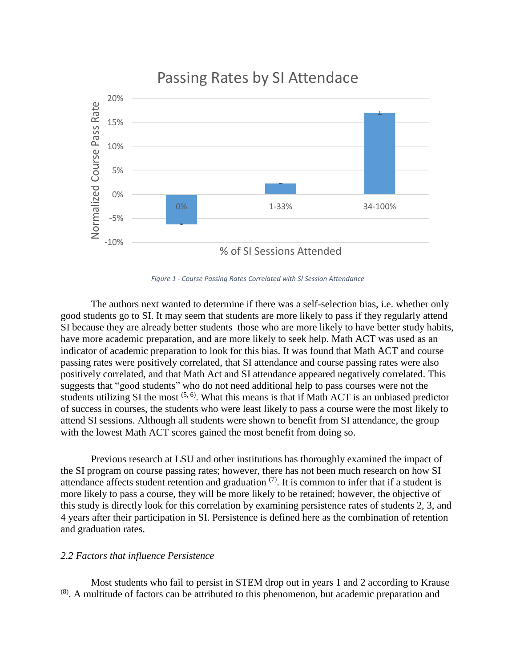

*Figure 1 - Course Passing Rates Correlated with SI Session Attendance*

The authors next wanted to determine if there was a self-selection bias, i.e. whether only good students go to SI. It may seem that students are more likely to pass if they regularly attend SI because they are already better students–those who are more likely to have better study habits, have more academic preparation, and are more likely to seek help. Math ACT was used as an indicator of academic preparation to look for this bias. It was found that Math ACT and course passing rates were positively correlated, that SI attendance and course passing rates were also positively correlated, and that Math Act and SI attendance appeared negatively correlated. This suggests that "good students" who do not need additional help to pass courses were not the students utilizing SI the most  $(5, 6)$ . What this means is that if Math ACT is an unbiased predictor of success in courses, the students who were least likely to pass a course were the most likely to attend SI sessions. Although all students were shown to benefit from SI attendance, the group with the lowest Math ACT scores gained the most benefit from doing so.

Previous research at LSU and other institutions has thoroughly examined the impact of the SI program on course passing rates; however, there has not been much research on how SI attendance affects student retention and graduation  $(7)$ . It is common to infer that if a student is more likely to pass a course, they will be more likely to be retained; however, the objective of this study is directly look for this correlation by examining persistence rates of students 2, 3, and 4 years after their participation in SI. Persistence is defined here as the combination of retention and graduation rates.

#### *2.2 Factors that influence Persistence*

Most students who fail to persist in STEM drop out in years 1 and 2 according to Krause <sup>(8)</sup>. A multitude of factors can be attributed to this phenomenon, but academic preparation and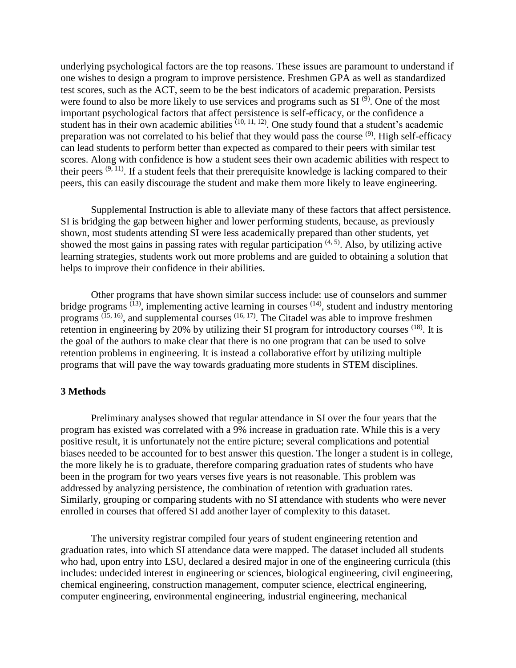underlying psychological factors are the top reasons. These issues are paramount to understand if one wishes to design a program to improve persistence. Freshmen GPA as well as standardized test scores, such as the ACT, seem to be the best indicators of academic preparation. Persists were found to also be more likely to use services and programs such as  $SI^{(9)}$ . One of the most important psychological factors that affect persistence is self-efficacy, or the confidence a student has in their own academic abilities  $(10, 11, 12)$ . One study found that a student's academic preparation was not correlated to his belief that they would pass the course <sup>(9)</sup>. High self-efficacy can lead students to perform better than expected as compared to their peers with similar test scores. Along with confidence is how a student sees their own academic abilities with respect to their peers  $(9, 11)$ . If a student feels that their prerequisite knowledge is lacking compared to their peers, this can easily discourage the student and make them more likely to leave engineering.

Supplemental Instruction is able to alleviate many of these factors that affect persistence. SI is bridging the gap between higher and lower performing students, because, as previously shown, most students attending SI were less academically prepared than other students, yet showed the most gains in passing rates with regular participation  $(4, 5)$ . Also, by utilizing active learning strategies, students work out more problems and are guided to obtaining a solution that helps to improve their confidence in their abilities.

Other programs that have shown similar success include: use of counselors and summer bridge programs  $(13)$ , implementing active learning in courses  $(14)$ , student and industry mentoring programs  $(15, 16)$ , and supplemental courses  $(16, 17)$ . The Citadel was able to improve freshmen retention in engineering by 20% by utilizing their SI program for introductory courses <sup>(18)</sup>. It is the goal of the authors to make clear that there is no one program that can be used to solve retention problems in engineering. It is instead a collaborative effort by utilizing multiple programs that will pave the way towards graduating more students in STEM disciplines.

#### **3 Methods**

Preliminary analyses showed that regular attendance in SI over the four years that the program has existed was correlated with a 9% increase in graduation rate. While this is a very positive result, it is unfortunately not the entire picture; several complications and potential biases needed to be accounted for to best answer this question. The longer a student is in college, the more likely he is to graduate, therefore comparing graduation rates of students who have been in the program for two years verses five years is not reasonable. This problem was addressed by analyzing persistence, the combination of retention with graduation rates. Similarly, grouping or comparing students with no SI attendance with students who were never enrolled in courses that offered SI add another layer of complexity to this dataset.

The university registrar compiled four years of student engineering retention and graduation rates, into which SI attendance data were mapped. The dataset included all students who had, upon entry into LSU, declared a desired major in one of the engineering curricula (this includes: undecided interest in engineering or sciences, biological engineering, civil engineering, chemical engineering, construction management, computer science, electrical engineering, computer engineering, environmental engineering, industrial engineering, mechanical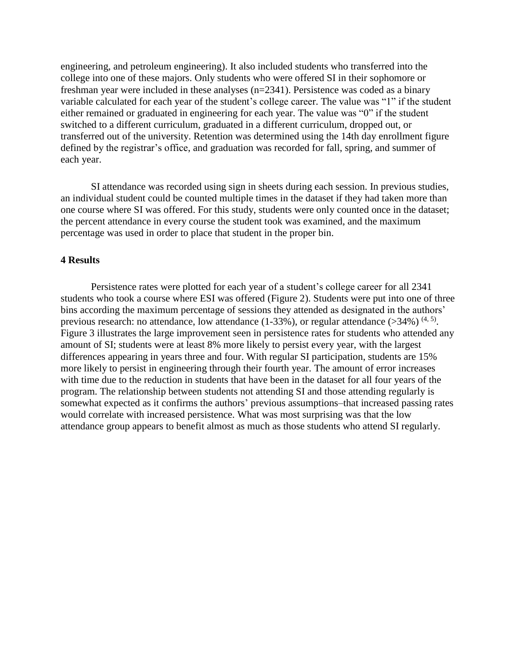engineering, and petroleum engineering). It also included students who transferred into the college into one of these majors. Only students who were offered SI in their sophomore or freshman year were included in these analyses (n=2341). Persistence was coded as a binary variable calculated for each year of the student's college career. The value was "1" if the student either remained or graduated in engineering for each year. The value was "0" if the student switched to a different curriculum, graduated in a different curriculum, dropped out, or transferred out of the university. Retention was determined using the 14th day enrollment figure defined by the registrar's office, and graduation was recorded for fall, spring, and summer of each year.

SI attendance was recorded using sign in sheets during each session. In previous studies, an individual student could be counted multiple times in the dataset if they had taken more than one course where SI was offered. For this study, students were only counted once in the dataset; the percent attendance in every course the student took was examined, and the maximum percentage was used in order to place that student in the proper bin.

#### **4 Results**

Persistence rates were plotted for each year of a student's college career for all 2341 students who took a course where ESI was offered (Figure 2). Students were put into one of three bins according the maximum percentage of sessions they attended as designated in the authors' previous research: no attendance, low attendance  $(1-33\%)$ , or regular attendance  $(>34\%)$  <sup>(4, 5)</sup>. Figure 3 illustrates the large improvement seen in persistence rates for students who attended any amount of SI; students were at least 8% more likely to persist every year, with the largest differences appearing in years three and four. With regular SI participation, students are 15% more likely to persist in engineering through their fourth year. The amount of error increases with time due to the reduction in students that have been in the dataset for all four years of the program. The relationship between students not attending SI and those attending regularly is somewhat expected as it confirms the authors' previous assumptions–that increased passing rates would correlate with increased persistence. What was most surprising was that the low attendance group appears to benefit almost as much as those students who attend SI regularly.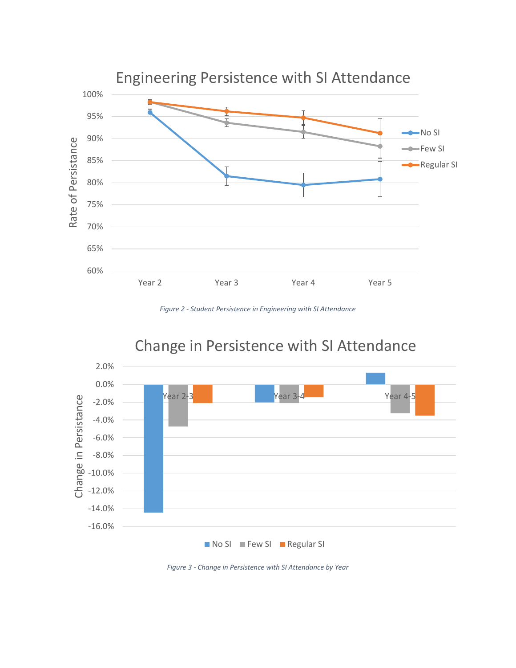

*Figure 2 - Student Persistence in Engineering with SI Attendance*

## -16.0% -14.0% -12.0% -10.0% -8.0% -6.0% -4.0% -2.0% 0.0% 2.0% Year 2-3 Year 3-4 Year 4-5 Change in Persistance No SI Few SI Regular SI

# Change in Persistence with SI Attendance

*Figure 3 - Change in Persistence with SI Attendance by Year*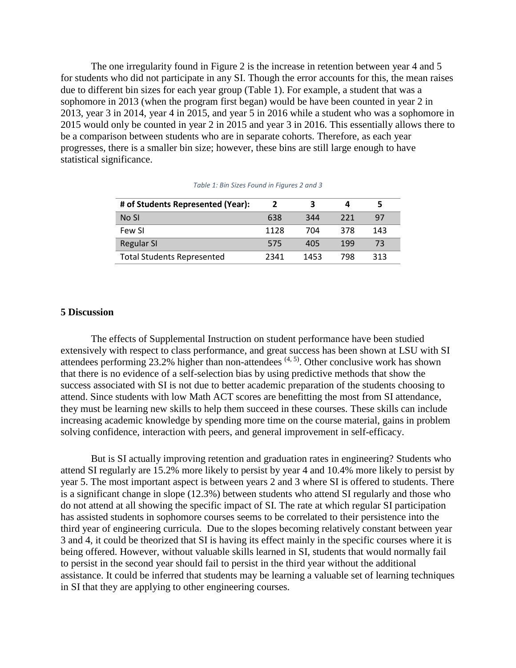The one irregularity found in Figure 2 is the increase in retention between year 4 and 5 for students who did not participate in any SI. Though the error accounts for this, the mean raises due to different bin sizes for each year group (Table 1). For example, a student that was a sophomore in 2013 (when the program first began) would be have been counted in year 2 in 2013, year 3 in 2014, year 4 in 2015, and year 5 in 2016 while a student who was a sophomore in 2015 would only be counted in year 2 in 2015 and year 3 in 2016. This essentially allows there to be a comparison between students who are in separate cohorts. Therefore, as each year progresses, there is a smaller bin size; however, these bins are still large enough to have statistical significance.

| # of Students Represented (Year): | 2    | з    |     | 5   |  |
|-----------------------------------|------|------|-----|-----|--|
| No SI                             | 638  | 344  | 221 | 97  |  |
| Few SI                            | 1128 | 704  | 378 | 143 |  |
| <b>Regular SI</b>                 | 575  | 405  | 199 | 73  |  |
| <b>Total Students Represented</b> | 2341 | 1453 | 798 | 313 |  |

*Table 1: Bin Sizes Found in Figures 2 and 3*

#### **5 Discussion**

The effects of Supplemental Instruction on student performance have been studied extensively with respect to class performance, and great success has been shown at LSU with SI attendees performing 23.2% higher than non-attendees  $(4, 5)$ . Other conclusive work has shown that there is no evidence of a self-selection bias by using predictive methods that show the success associated with SI is not due to better academic preparation of the students choosing to attend. Since students with low Math ACT scores are benefitting the most from SI attendance, they must be learning new skills to help them succeed in these courses. These skills can include increasing academic knowledge by spending more time on the course material, gains in problem solving confidence, interaction with peers, and general improvement in self-efficacy.

But is SI actually improving retention and graduation rates in engineering? Students who attend SI regularly are 15.2% more likely to persist by year 4 and 10.4% more likely to persist by year 5. The most important aspect is between years 2 and 3 where SI is offered to students. There is a significant change in slope (12.3%) between students who attend SI regularly and those who do not attend at all showing the specific impact of SI. The rate at which regular SI participation has assisted students in sophomore courses seems to be correlated to their persistence into the third year of engineering curricula. Due to the slopes becoming relatively constant between year 3 and 4, it could be theorized that SI is having its effect mainly in the specific courses where it is being offered. However, without valuable skills learned in SI, students that would normally fail to persist in the second year should fail to persist in the third year without the additional assistance. It could be inferred that students may be learning a valuable set of learning techniques in SI that they are applying to other engineering courses.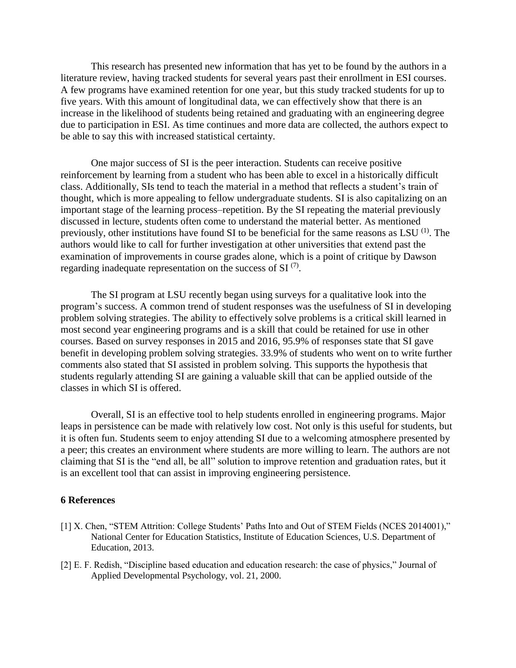This research has presented new information that has yet to be found by the authors in a literature review, having tracked students for several years past their enrollment in ESI courses. A few programs have examined retention for one year, but this study tracked students for up to five years. With this amount of longitudinal data, we can effectively show that there is an increase in the likelihood of students being retained and graduating with an engineering degree due to participation in ESI. As time continues and more data are collected, the authors expect to be able to say this with increased statistical certainty.

One major success of SI is the peer interaction. Students can receive positive reinforcement by learning from a student who has been able to excel in a historically difficult class. Additionally, SIs tend to teach the material in a method that reflects a student's train of thought, which is more appealing to fellow undergraduate students. SI is also capitalizing on an important stage of the learning process–repetition. By the SI repeating the material previously discussed in lecture, students often come to understand the material better. As mentioned previously, other institutions have found SI to be beneficial for the same reasons as LSU  $^{(1)}$ . The authors would like to call for further investigation at other universities that extend past the examination of improvements in course grades alone, which is a point of critique by Dawson regarding inadequate representation on the success of SI $(7)$ .

The SI program at LSU recently began using surveys for a qualitative look into the program's success. A common trend of student responses was the usefulness of SI in developing problem solving strategies. The ability to effectively solve problems is a critical skill learned in most second year engineering programs and is a skill that could be retained for use in other courses. Based on survey responses in 2015 and 2016, 95.9% of responses state that SI gave benefit in developing problem solving strategies. 33.9% of students who went on to write further comments also stated that SI assisted in problem solving. This supports the hypothesis that students regularly attending SI are gaining a valuable skill that can be applied outside of the classes in which SI is offered.

Overall, SI is an effective tool to help students enrolled in engineering programs. Major leaps in persistence can be made with relatively low cost. Not only is this useful for students, but it is often fun. Students seem to enjoy attending SI due to a welcoming atmosphere presented by a peer; this creates an environment where students are more willing to learn. The authors are not claiming that SI is the "end all, be all" solution to improve retention and graduation rates, but it is an excellent tool that can assist in improving engineering persistence.

#### **6 References**

- [1] X. Chen, "STEM Attrition: College Students' Paths Into and Out of STEM Fields (NCES 2014001)," National Center for Education Statistics, Institute of Education Sciences, U.S. Department of Education, 2013.
- [2] E. F. Redish, "Discipline based education and education research: the case of physics," Journal of Applied Developmental Psychology, vol. 21, 2000.